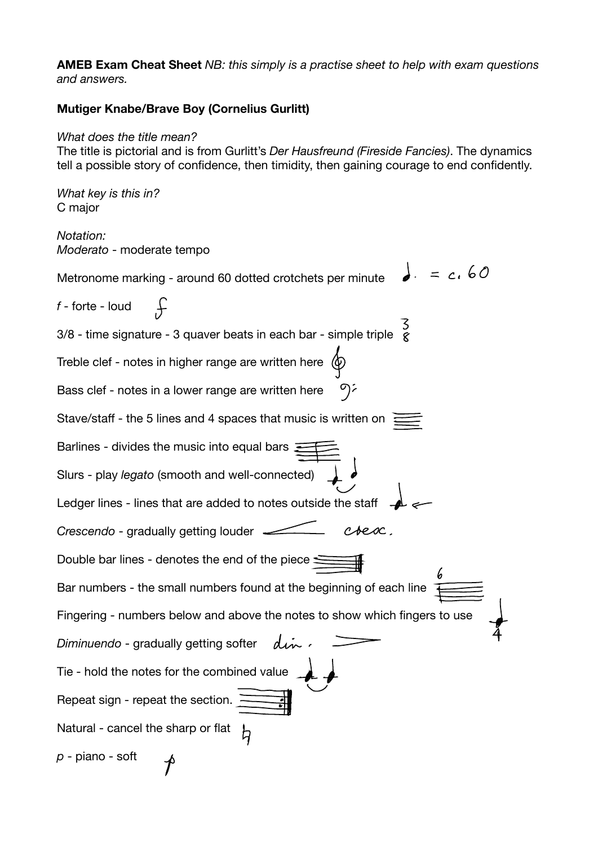**AMEB Exam Cheat Sheet** *NB: this simply is a practise sheet to help with exam questions and answers.* 

## **Mutiger Knabe/Brave Boy (Cornelius Gurlitt)**

## *What does the title mean?*

The title is pictorial and is from Gurlitt's *Der Hausfreund (Fireside Fancies)*. The dynamics tell a possible story of confidence, then timidity, then gaining courage to end confidently.

*What key is this in?*  C major

*Notation: Moderato* - moderate tempo

 $\lrcorner$ .  $= c.60$ Metronome marking - around 60 dotted crotchets per minute *f* - forte - loud 3/8 - time signature - 3 quaver beats in each bar - simple triple Treble clef - notes in higher range are written here  $\langle \Phi \rangle$ のシ Bass clef - notes in a lower range are written here Stave/staff - the 5 lines and 4 spaces that music is written on  $\frac{1}{2}$ Barlines - divides the music into equal bars  $\Xi$ Slurs - play *legato* (smooth and well-connected) Ledger lines - lines that are added to notes outside the staff -*Crescendo* - gradually getting louder csesc. Double bar lines - denotes the end of the piece  $\leq$ Bar numbers - the small numbers found at the beginning of each line Fingering - numbers below and above the notes to show which fingers to use din. *Diminuendo* - gradually getting softer Tie - hold the notes for the combined value Repeat sign - repeat the section. Natural - cancel the sharp or flat b *p* - piano - soft